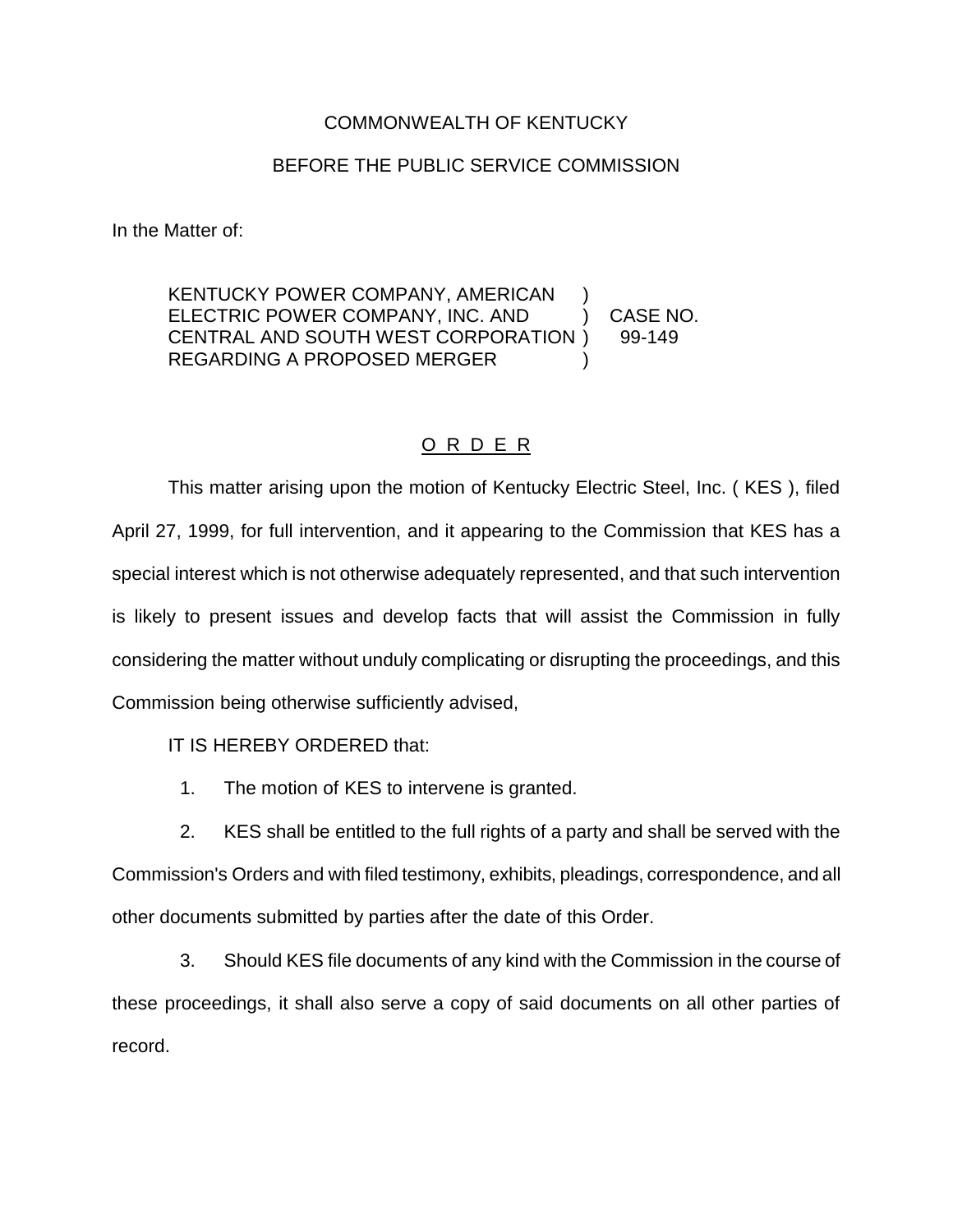## COMMONWEALTH OF KENTUCKY

## BEFORE THE PUBLIC SERVICE COMMISSION

In the Matter of:

KENTUCKY POWER COMPANY, AMERICAN ELECTRIC POWER COMPANY, INC. AND ) CASE NO. CENTRAL AND SOUTH WEST CORPORATION ) 99-149 REGARDING A PROPOSED MERGER

## O R D E R

This matter arising upon the motion of Kentucky Electric Steel, Inc. ( KES ), filed April 27, 1999, for full intervention, and it appearing to the Commission that KES has a special interest which is not otherwise adequately represented, and that such intervention is likely to present issues and develop facts that will assist the Commission in fully considering the matter without unduly complicating or disrupting the proceedings, and this Commission being otherwise sufficiently advised,

IT IS HEREBY ORDERED that:

1. The motion of KES to intervene is granted.

2. KES shall be entitled to the full rights of a party and shall be served with the Commission's Orders and with filed testimony, exhibits, pleadings, correspondence, and all other documents submitted by parties after the date of this Order.

3. Should KES file documents of any kind with the Commission in the course of these proceedings, it shall also serve a copy of said documents on all other parties of record.